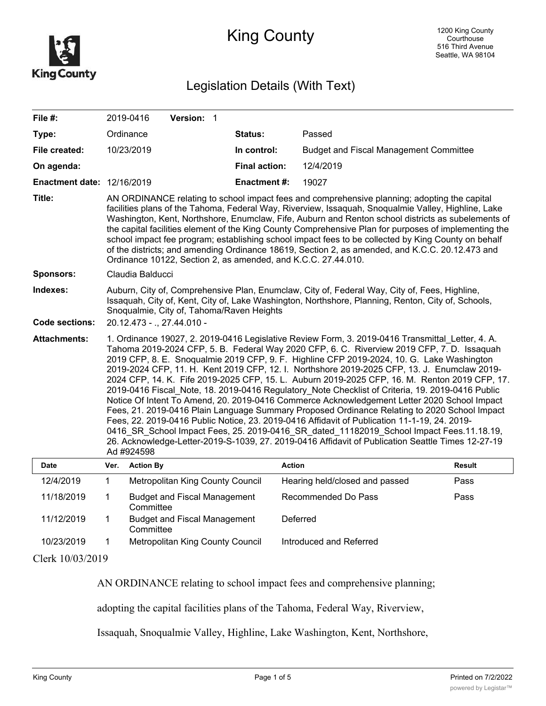

## King County

## Legislation Details (With Text)

| File #:                           |                                                                                                                                                                                                                                                                                                                                                                                                                                                                                                                                                                                                                                                                                                                                                                                                                                                                                                                                                                                                                                                                                                               | 2019-0416        | Version: 1                          |  |                      |                                               |               |
|-----------------------------------|---------------------------------------------------------------------------------------------------------------------------------------------------------------------------------------------------------------------------------------------------------------------------------------------------------------------------------------------------------------------------------------------------------------------------------------------------------------------------------------------------------------------------------------------------------------------------------------------------------------------------------------------------------------------------------------------------------------------------------------------------------------------------------------------------------------------------------------------------------------------------------------------------------------------------------------------------------------------------------------------------------------------------------------------------------------------------------------------------------------|------------------|-------------------------------------|--|----------------------|-----------------------------------------------|---------------|
| Type:                             |                                                                                                                                                                                                                                                                                                                                                                                                                                                                                                                                                                                                                                                                                                                                                                                                                                                                                                                                                                                                                                                                                                               | Ordinance        |                                     |  | <b>Status:</b>       | Passed                                        |               |
| File created:                     |                                                                                                                                                                                                                                                                                                                                                                                                                                                                                                                                                                                                                                                                                                                                                                                                                                                                                                                                                                                                                                                                                                               | 10/23/2019       |                                     |  | In control:          | <b>Budget and Fiscal Management Committee</b> |               |
| On agenda:                        |                                                                                                                                                                                                                                                                                                                                                                                                                                                                                                                                                                                                                                                                                                                                                                                                                                                                                                                                                                                                                                                                                                               |                  |                                     |  | <b>Final action:</b> | 12/4/2019                                     |               |
| <b>Enactment date: 12/16/2019</b> |                                                                                                                                                                                                                                                                                                                                                                                                                                                                                                                                                                                                                                                                                                                                                                                                                                                                                                                                                                                                                                                                                                               |                  |                                     |  | <b>Enactment#:</b>   | 19027                                         |               |
| Title:                            | AN ORDINANCE relating to school impact fees and comprehensive planning; adopting the capital<br>facilities plans of the Tahoma, Federal Way, Riverview, Issaquah, Snoqualmie Valley, Highline, Lake<br>Washington, Kent, Northshore, Enumclaw, Fife, Auburn and Renton school districts as subelements of<br>the capital facilities element of the King County Comprehensive Plan for purposes of implementing the<br>school impact fee program; establishing school impact fees to be collected by King County on behalf<br>of the districts; and amending Ordinance 18619, Section 2, as amended, and K.C.C. 20.12.473 and<br>Ordinance 10122, Section 2, as amended, and K.C.C. 27.44.010.                                                                                                                                                                                                                                                                                                                                                                                                                 |                  |                                     |  |                      |                                               |               |
| Sponsors:                         | Claudia Balducci                                                                                                                                                                                                                                                                                                                                                                                                                                                                                                                                                                                                                                                                                                                                                                                                                                                                                                                                                                                                                                                                                              |                  |                                     |  |                      |                                               |               |
| Indexes:<br><b>Code sections:</b> | Auburn, City of, Comprehensive Plan, Enumclaw, City of, Federal Way, City of, Fees, Highline,<br>Issaquah, City of, Kent, City of, Lake Washington, Northshore, Planning, Renton, City of, Schools,<br>Snoqualmie, City of, Tahoma/Raven Heights<br>20.12.473 - ., 27.44.010 -                                                                                                                                                                                                                                                                                                                                                                                                                                                                                                                                                                                                                                                                                                                                                                                                                                |                  |                                     |  |                      |                                               |               |
| <b>Attachments:</b>               | 1. Ordinance 19027, 2. 2019-0416 Legislative Review Form, 3. 2019-0416 Transmittal Letter, 4. A.<br>Tahoma 2019-2024 CFP, 5. B. Federal Way 2020 CFP, 6. C. Riverview 2019 CFP, 7. D. Issaquah<br>2019 CFP, 8. E. Snoqualmie 2019 CFP, 9. F. Highline CFP 2019-2024, 10. G. Lake Washington<br>2019-2024 CFP, 11. H. Kent 2019 CFP, 12. I. Northshore 2019-2025 CFP, 13. J. Enumclaw 2019-<br>2024 CFP, 14. K. Fife 2019-2025 CFP, 15. L. Auburn 2019-2025 CFP, 16. M. Renton 2019 CFP, 17.<br>2019-0416 Fiscal Note, 18. 2019-0416 Regulatory Note Checklist of Criteria, 19. 2019-0416 Public<br>Notice Of Intent To Amend, 20. 2019-0416 Commerce Acknowledgement Letter 2020 School Impact<br>Fees, 21. 2019-0416 Plain Language Summary Proposed Ordinance Relating to 2020 School Impact<br>Fees, 22. 2019-0416 Public Notice, 23. 2019-0416 Affidavit of Publication 11-1-19, 24. 2019-<br>0416 SR School Impact Fees, 25. 2019-0416 SR dated 11182019 School Impact Fees.11.18.19,<br>26. Acknowledge-Letter-2019-S-1039, 27. 2019-0416 Affidavit of Publication Seattle Times 12-27-19<br>Ad #924598 |                  |                                     |  |                      |                                               |               |
| <b>Date</b>                       | Ver.                                                                                                                                                                                                                                                                                                                                                                                                                                                                                                                                                                                                                                                                                                                                                                                                                                                                                                                                                                                                                                                                                                          | <b>Action By</b> |                                     |  |                      | <b>Action</b>                                 | <b>Result</b> |
| 12/4/2019                         | $\mathbf 1$                                                                                                                                                                                                                                                                                                                                                                                                                                                                                                                                                                                                                                                                                                                                                                                                                                                                                                                                                                                                                                                                                                   |                  | Metropolitan King County Council    |  |                      | Hearing held/closed and passed                | Pass          |
| 11/18/2019                        | $\mathbf 1$                                                                                                                                                                                                                                                                                                                                                                                                                                                                                                                                                                                                                                                                                                                                                                                                                                                                                                                                                                                                                                                                                                   | Committee        | <b>Budget and Fiscal Management</b> |  |                      | Recommended Do Pass                           | Pass          |
| 11/12/2019                        | $\mathbf 1$                                                                                                                                                                                                                                                                                                                                                                                                                                                                                                                                                                                                                                                                                                                                                                                                                                                                                                                                                                                                                                                                                                   | Committee        | <b>Budget and Fiscal Management</b> |  |                      | Deferred                                      |               |

10/23/2019 1 Metropolitan King County Council Introduced and Referred

Clerk 10/03/2019

AN ORDINANCE relating to school impact fees and comprehensive planning;

adopting the capital facilities plans of the Tahoma, Federal Way, Riverview,

Issaquah, Snoqualmie Valley, Highline, Lake Washington, Kent, Northshore,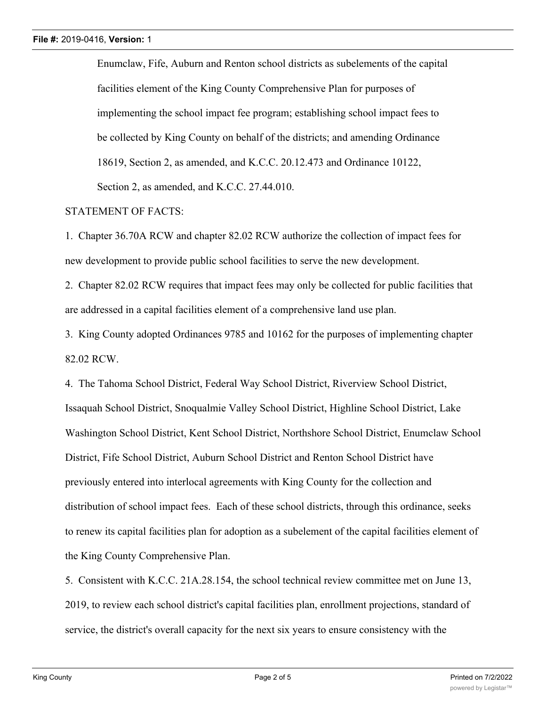Enumclaw, Fife, Auburn and Renton school districts as subelements of the capital facilities element of the King County Comprehensive Plan for purposes of implementing the school impact fee program; establishing school impact fees to be collected by King County on behalf of the districts; and amending Ordinance 18619, Section 2, as amended, and K.C.C. 20.12.473 and Ordinance 10122, Section 2, as amended, and K.C.C. 27.44.010.

## STATEMENT OF FACTS:

1. Chapter 36.70A RCW and chapter 82.02 RCW authorize the collection of impact fees for new development to provide public school facilities to serve the new development.

2. Chapter 82.02 RCW requires that impact fees may only be collected for public facilities that are addressed in a capital facilities element of a comprehensive land use plan.

3. King County adopted Ordinances 9785 and 10162 for the purposes of implementing chapter 82.02 RCW.

4. The Tahoma School District, Federal Way School District, Riverview School District, Issaquah School District, Snoqualmie Valley School District, Highline School District, Lake Washington School District, Kent School District, Northshore School District, Enumclaw School District, Fife School District, Auburn School District and Renton School District have previously entered into interlocal agreements with King County for the collection and distribution of school impact fees. Each of these school districts, through this ordinance, seeks to renew its capital facilities plan for adoption as a subelement of the capital facilities element of the King County Comprehensive Plan.

5. Consistent with K.C.C. 21A.28.154, the school technical review committee met on June 13, 2019, to review each school district's capital facilities plan, enrollment projections, standard of service, the district's overall capacity for the next six years to ensure consistency with the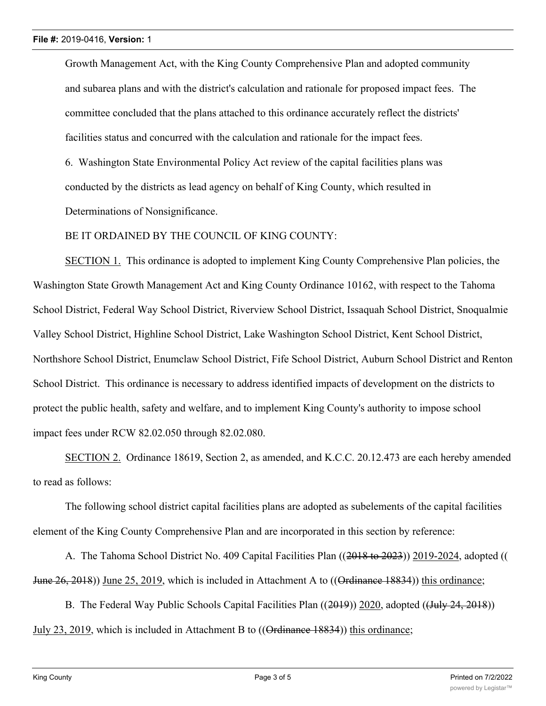Growth Management Act, with the King County Comprehensive Plan and adopted community and subarea plans and with the district's calculation and rationale for proposed impact fees. The committee concluded that the plans attached to this ordinance accurately reflect the districts' facilities status and concurred with the calculation and rationale for the impact fees.

6. Washington State Environmental Policy Act review of the capital facilities plans was conducted by the districts as lead agency on behalf of King County, which resulted in Determinations of Nonsignificance.

BE IT ORDAINED BY THE COUNCIL OF KING COUNTY:

SECTION 1. This ordinance is adopted to implement King County Comprehensive Plan policies, the Washington State Growth Management Act and King County Ordinance 10162, with respect to the Tahoma School District, Federal Way School District, Riverview School District, Issaquah School District, Snoqualmie Valley School District, Highline School District, Lake Washington School District, Kent School District, Northshore School District, Enumclaw School District, Fife School District, Auburn School District and Renton School District. This ordinance is necessary to address identified impacts of development on the districts to protect the public health, safety and welfare, and to implement King County's authority to impose school impact fees under RCW 82.02.050 through 82.02.080.

SECTION 2. Ordinance 18619, Section 2, as amended, and K.C.C. 20.12.473 are each hereby amended to read as follows:

The following school district capital facilities plans are adopted as subelements of the capital facilities element of the King County Comprehensive Plan and are incorporated in this section by reference:

A. The Tahoma School District No. 409 Capital Facilities Plan ((2018 to 2023)) 2019-2024, adopted (( June 26, 2018)) June 25, 2019, which is included in Attachment A to ((Ordinance 18834)) this ordinance;

B. The Federal Way Public Schools Capital Facilities Plan ((2019)) 2020, adopted ((July 24, 2018)) July 23, 2019, which is included in Attachment B to ((Ordinance 18834)) this ordinance;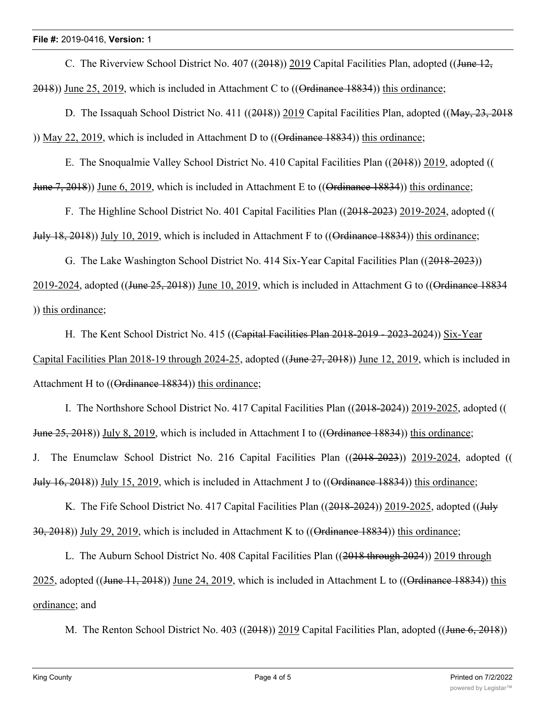C. The Riverview School District No. 407 ((2018)) 2019 Capital Facilities Plan, adopted ((June  $12$ , 2018)) June 25, 2019, which is included in Attachment C to ((Ordinance 18834)) this ordinance;

D. The Issaquah School District No. 411 ((2018)) 2019 Capital Facilities Plan, adopted ((May, 23, 2018) )) May 22, 2019, which is included in Attachment D to ((Ordinance 18834)) this ordinance;

E. The Snoqualmie Valley School District No. 410 Capital Facilities Plan ((2018)) 2019, adopted (( June 7, 2018)) June 6, 2019, which is included in Attachment E to ((Ordinance 18834)) this ordinance;

F. The Highline School District No. 401 Capital Facilities Plan ((2018-2023) 2019-2024, adopted (( July 18, 2018)) July 10, 2019, which is included in Attachment F to  $((Q_1 - 18834))$  this ordinance;

G. The Lake Washington School District No. 414 Six-Year Capital Facilities Plan ((2018-2023))

2019-2024, adopted ((June 25, 2018)) June 10, 2019, which is included in Attachment G to ((Ordinance 18834) )) this ordinance;

H. The Kent School District No. 415 ((Capital Facilities Plan 2018-2019 - 2023-2024)) Six-Year Capital Facilities Plan 2018-19 through 2024-25, adopted ((June 27, 2018)) June 12, 2019, which is included in Attachment H to ((Ordinance 18834)) this ordinance:

I. The Northshore School District No. 417 Capital Facilities Plan ((2018-2024)) 2019-2025, adopted (( June 25, 2018)) July 8, 2019, which is included in Attachment I to ((Ordinance 18834)) this ordinance; J. The Enumclaw School District No. 216 Capital Facilities Plan ((2018-2023)) 2019-2024, adopted (( July 16, 2018)) July 15, 2019, which is included in Attachment J to ((Ordinance 18834)) this ordinance;

K. The Fife School District No. 417 Capital Facilities Plan ((2018-2024)) 2019-2025, adopted ((July 30, 2018)) July 29, 2019, which is included in Attachment K to ((Ordinance 18834)) this ordinance;

L. The Auburn School District No. 408 Capital Facilities Plan ((2018 through 2024)) 2019 through 2025, adopted ((June 11, 2018)) June 24, 2019, which is included in Attachment L to ((Ordinance 18834)) this ordinance; and

M. The Renton School District No. 403 ((2018)) 2019 Capital Facilities Plan, adopted ((June 6, 2018))